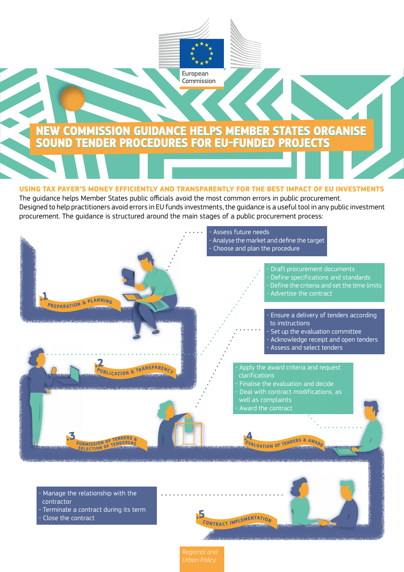

## **USING TAX PAYER'S MONEY EFFICIENTLY AND TRANSPARENTLY FOR THE BEST IMPACT OF EU INVESTMENTS**

The guidance helps Member States public officials avoid the most common errors in public procurement. Designed to help practitioners avoid errors in EU funds investments, the guidance is a useful tool in any public investment procurement. The guidance is structured around the main stages of a public procurement process:



- Manage the relationship with the contractor
- Terminate a contract during its term
- Close the contract

**.5**